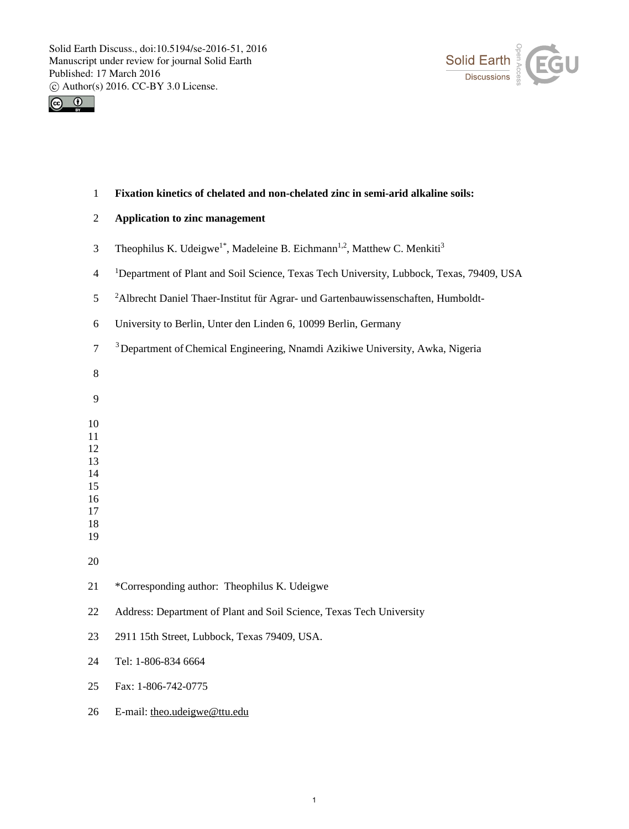



# 1 **Fixation kinetics of chelated and non-chelated zinc in semi-arid alkaline soils:**

- 2 **Application to zinc management**
- 3 Theophilus K. Udeigwe<sup>1\*</sup>, Madeleine B. Eichmann<sup>1,2</sup>, Matthew C. Menkiti<sup>3</sup>
- <sup>1</sup> 4 Department of Plant and Soil Science, Texas Tech University, Lubbock, Texas, 79409, USA
- <sup>2</sup> 5 Albrecht Daniel Thaer-Institut für Agrar- und Gartenbauwissenschaften, Humboldt-
- 6 University to Berlin, Unter den Linden 6, 10099 Berlin, Germany
- <sup>3</sup> Department of Chemical Engineering, Nnamdi Azikiwe University, Awka, Nigeria
- 8
- 9
- 10
- 11
- 12
- 13 14
- 15
- 16
- 17
- 18 19
- 
- 20
- 21 \*Corresponding author: Theophilus K. Udeigwe
- 22 Address: Department of Plant and Soil Science, Texas Tech University
- 23 2911 15th Street, Lubbock, Texas 79409, USA.
- 24 Tel: 1-806-834 6664
- 25 Fax: 1-806-742-0775
- 26 E-mail: theo.udeigwe@ttu.edu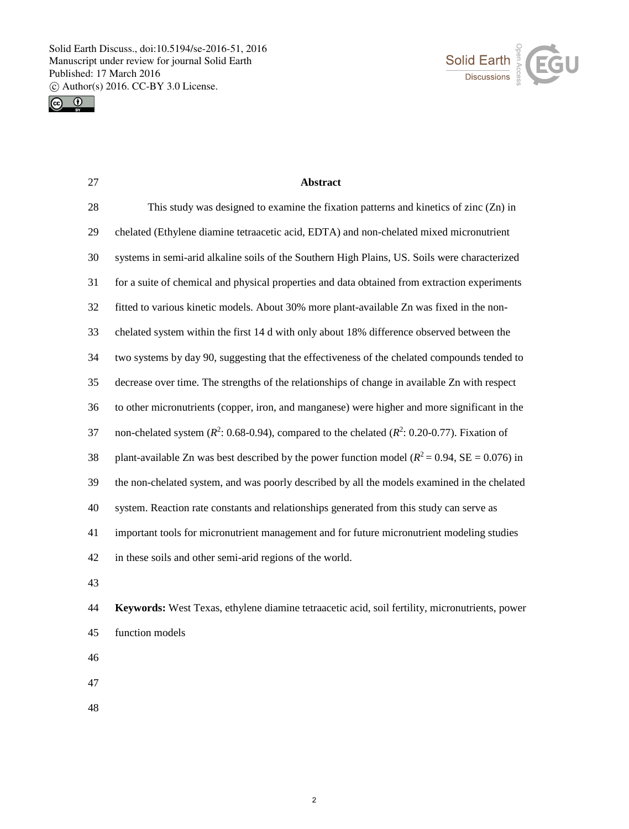



| 27 | Abstract                                                                                             |
|----|------------------------------------------------------------------------------------------------------|
| 28 | This study was designed to examine the fixation patterns and kinetics of zinc (Zn) in                |
| 29 | chelated (Ethylene diamine tetraacetic acid, EDTA) and non-chelated mixed micronutrient              |
| 30 | systems in semi-arid alkaline soils of the Southern High Plains, US. Soils were characterized        |
| 31 | for a suite of chemical and physical properties and data obtained from extraction experiments        |
| 32 | fitted to various kinetic models. About 30% more plant-available Zn was fixed in the non-            |
| 33 | chelated system within the first 14 d with only about 18% difference observed between the            |
| 34 | two systems by day 90, suggesting that the effectiveness of the chelated compounds tended to         |
| 35 | decrease over time. The strengths of the relationships of change in available Zn with respect        |
| 36 | to other micronutrients (copper, iron, and manganese) were higher and more significant in the        |
| 37 | non-chelated system ( $R^2$ : 0.68-0.94), compared to the chelated ( $R^2$ : 0.20-0.77). Fixation of |
| 38 | plant-available Zn was best described by the power function model ( $R^2 = 0.94$ , SE = 0.076) in    |
| 39 | the non-chelated system, and was poorly described by all the models examined in the chelated         |
| 40 | system. Reaction rate constants and relationships generated from this study can serve as             |
| 41 | important tools for micronutrient management and for future micronutrient modeling studies           |
| 42 | in these soils and other semi-arid regions of the world.                                             |
| 43 |                                                                                                      |

- 44 **Keywords:** West Texas, ethylene diamine tetraacetic acid, soil fertility, micronutrients, power 45 function models
- 46
- 47
- 48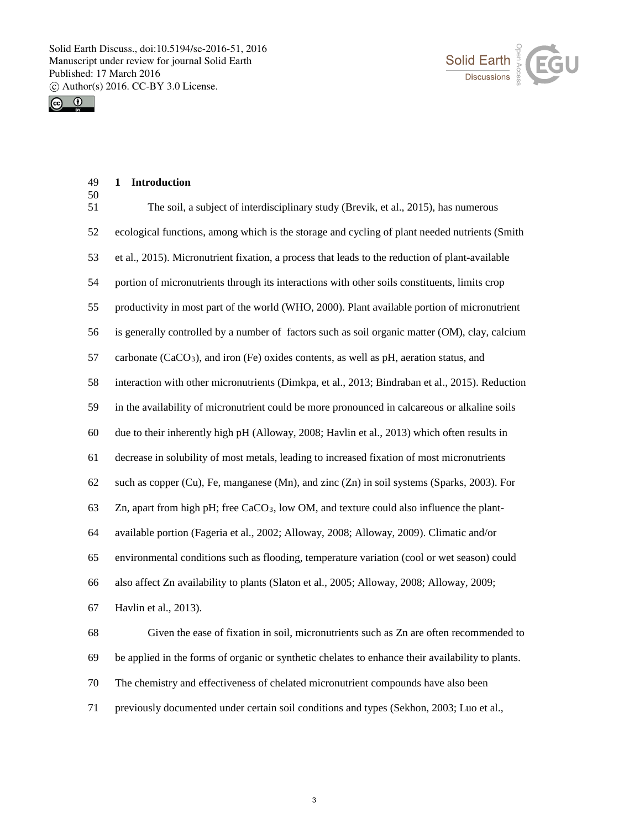



| 49<br>50 | <b>Introduction</b><br>$\mathbf{1}$                                                                  |
|----------|------------------------------------------------------------------------------------------------------|
| 51       | The soil, a subject of interdisciplinary study (Brevik, et al., 2015), has numerous                  |
| 52       | ecological functions, among which is the storage and cycling of plant needed nutrients (Smith        |
| 53       | et al., 2015). Micronutrient fixation, a process that leads to the reduction of plant-available      |
| 54       | portion of micronutrients through its interactions with other soils constituents, limits crop        |
| 55       | productivity in most part of the world (WHO, 2000). Plant available portion of micronutrient         |
| 56       | is generally controlled by a number of factors such as soil organic matter (OM), clay, calcium       |
| 57       | carbonate (CaCO <sub>3</sub> ), and iron (Fe) oxides contents, as well as pH, aeration status, and   |
| 58       | interaction with other micronutrients (Dimkpa, et al., 2013; Bindraban et al., 2015). Reduction      |
| 59       | in the availability of micronutrient could be more pronounced in calcareous or alkaline soils        |
| 60       | due to their inherently high pH (Alloway, 2008; Havlin et al., 2013) which often results in          |
| 61       | decrease in solubility of most metals, leading to increased fixation of most micronutrients          |
| 62       | such as copper (Cu), Fe, manganese (Mn), and zinc (Zn) in soil systems (Sparks, 2003). For           |
| 63       | Zn, apart from high pH; free CaCO <sub>3</sub> , low OM, and texture could also influence the plant- |
| 64       | available portion (Fageria et al., 2002; Alloway, 2008; Alloway, 2009). Climatic and/or              |
| 65       | environmental conditions such as flooding, temperature variation (cool or wet season) could          |
| 66       | also affect Zn availability to plants (Slaton et al., 2005; Alloway, 2008; Alloway, 2009;            |
| 67       | Havlin et al., 2013).                                                                                |
| 68       | Given the ease of fixation in soil, micronutrients such as Zn are often recommended to               |
| 69       | be applied in the forms of organic or synthetic chelates to enhance their availability to plants.    |
| 70       | The chemistry and effectiveness of chelated micronutrient compounds have also been                   |
| 71       | previously documented under certain soil conditions and types (Sekhon, 2003; Luo et al.,             |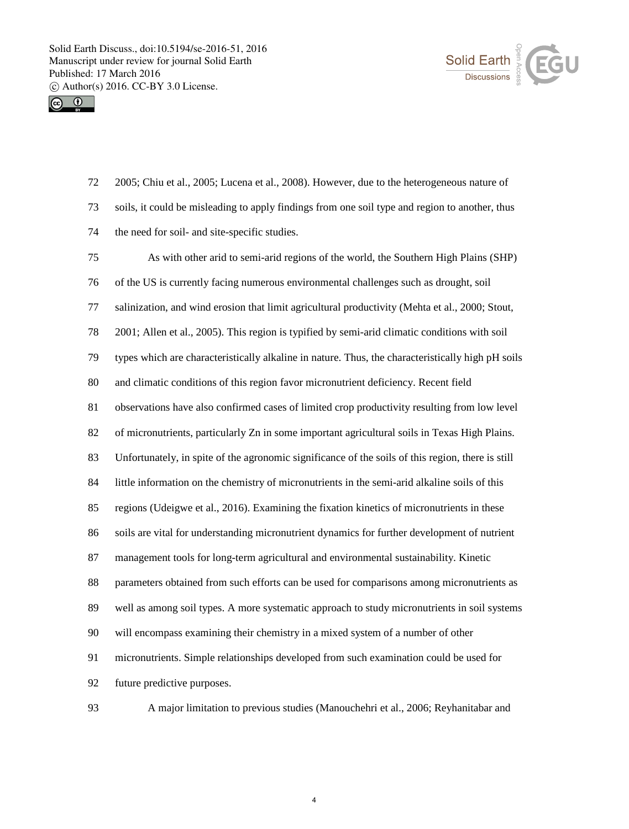



- 72 2005; Chiu et al., 2005; Lucena et al., 2008). However, due to the heterogeneous nature of 73 soils, it could be misleading to apply findings from one soil type and region to another, thus 74 the need for soil- and site-specific studies.
- 75 As with other arid to semi-arid regions of the world, the Southern High Plains (SHP) 76 of the US is currently facing numerous environmental challenges such as drought, soil 77 salinization, and wind erosion that limit agricultural productivity (Mehta et al., 2000; Stout, 78 2001; Allen et al., 2005). This region is typified by semi-arid climatic conditions with soil 79 types which are characteristically alkaline in nature. Thus, the characteristically high pH soils 80 and climatic conditions of this region favor micronutrient deficiency. Recent field 81 observations have also confirmed cases of limited crop productivity resulting from low level 82 of micronutrients, particularly Zn in some important agricultural soils in Texas High Plains. 83 Unfortunately, in spite of the agronomic significance of the soils of this region, there is still 84 little information on the chemistry of micronutrients in the semi-arid alkaline soils of this 85 regions (Udeigwe et al., 2016). Examining the fixation kinetics of micronutrients in these 86 soils are vital for understanding micronutrient dynamics for further development of nutrient 87 management tools for long-term agricultural and environmental sustainability. Kinetic 88 parameters obtained from such efforts can be used for comparisons among micronutrients as 89 well as among soil types. A more systematic approach to study micronutrients in soil systems 90 will encompass examining their chemistry in a mixed system of a number of other 91 micronutrients. Simple relationships developed from such examination could be used for 92 future predictive purposes.
- 

93 A major limitation to previous studies (Manouchehri et al., 2006; Reyhanitabar and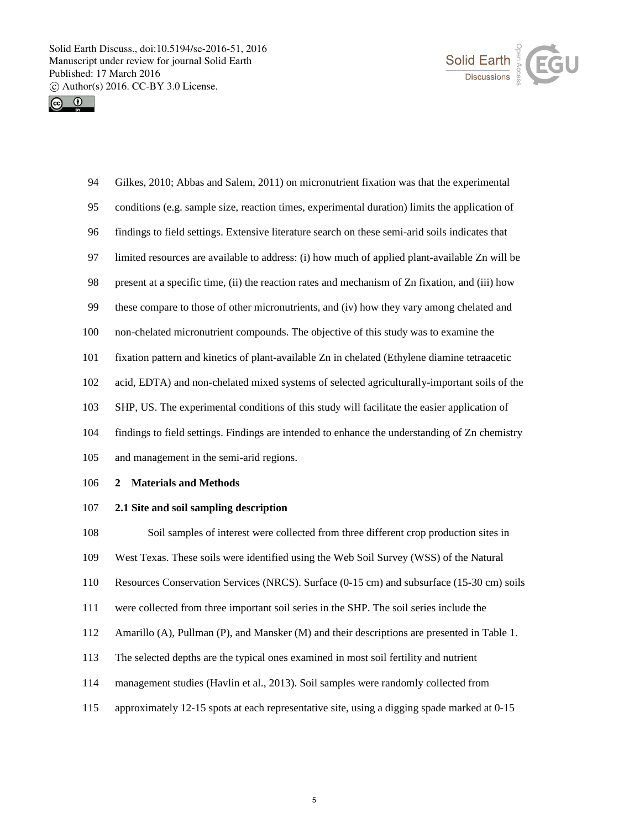



- 94 Gilkes, 2010; Abbas and Salem, 2011) on micronutrient fixation was that the experimental 95 conditions (e.g. sample size, reaction times, experimental duration) limits the application of 96 findings to field settings. Extensive literature search on these semi-arid soils indicates that 97 limited resources are available to address: (i) how much of applied plant-available Zn will be 98 present at a specific time, (ii) the reaction rates and mechanism of Zn fixation, and (iii) how 99 these compare to those of other micronutrients, and (iv) how they vary among chelated and 100 non-chelated micronutrient compounds. The objective of this study was to examine the 101 fixation pattern and kinetics of plant-available Zn in chelated (Ethylene diamine tetraacetic 102 acid, EDTA) and non-chelated mixed systems of selected agriculturally-important soils of the 103 SHP, US. The experimental conditions of this study will facilitate the easier application of 104 findings to field settings. Findings are intended to enhance the understanding of Zn chemistry 105 and management in the semi-arid regions. 106 **2 Materials and Methods**
- 107 **2.1 Site and soil sampling description**

108 Soil samples of interest were collected from three different crop production sites in 109 West Texas. These soils were identified using the Web Soil Survey (WSS) of the Natural 110 Resources Conservation Services (NRCS). Surface (0-15 cm) and subsurface (15-30 cm) soils 111 were collected from three important soil series in the SHP. The soil series include the

- 112 Amarillo (A), Pullman (P), and Mansker (M) and their descriptions are presented in Table 1.
- 113 The selected depths are the typical ones examined in most soil fertility and nutrient
- 114 management studies (Havlin et al., 2013). Soil samples were randomly collected from
- 115 approximately 12-15 spots at each representative site, using a digging spade marked at 0-15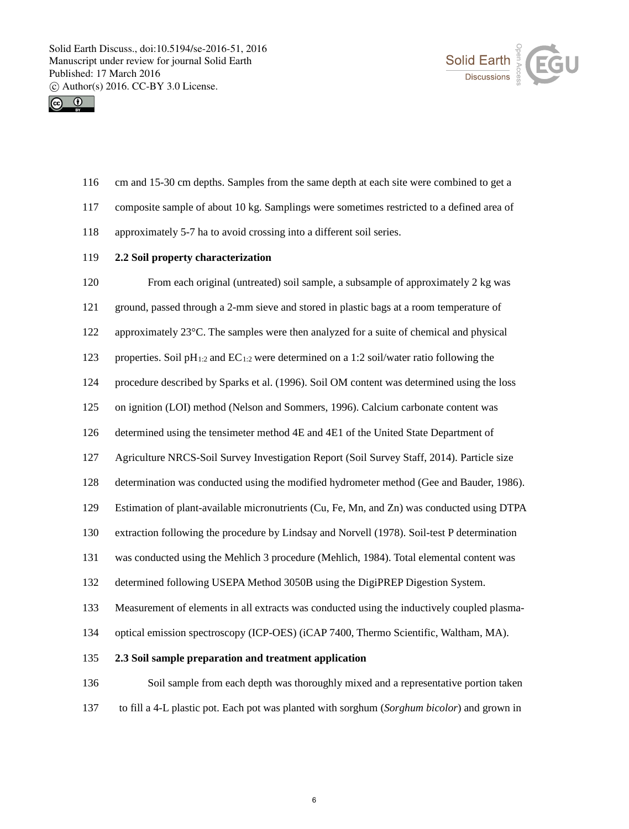



- 116 cm and 15-30 cm depths. Samples from the same depth at each site were combined to get a
- 117 composite sample of about 10 kg. Samplings were sometimes restricted to a defined area of
- 118 approximately 5-7 ha to avoid crossing into a different soil series.
- 119 **2.2 Soil property characterization**

120 From each original (untreated) soil sample, a subsample of approximately 2 kg was 121 ground, passed through a 2-mm sieve and stored in plastic bags at a room temperature of 122 approximately 23°C. The samples were then analyzed for a suite of chemical and physical 123 properties. Soil pH<sub>1:2</sub> and EC<sub>1:2</sub> were determined on a 1:2 soil/water ratio following the 124 procedure described by Sparks et al. (1996). Soil OM content was determined using the loss 125 on ignition (LOI) method (Nelson and Sommers, 1996). Calcium carbonate content was 126 determined using the tensimeter method 4E and 4E1 of the United State Department of 127 Agriculture NRCS-Soil Survey Investigation Report (Soil Survey Staff, 2014). Particle size 128 determination was conducted using the modified hydrometer method (Gee and Bauder, 1986). 129 Estimation of plant-available micronutrients (Cu, Fe, Mn, and Zn) was conducted using DTPA 130 extraction following the procedure by Lindsay and Norvell (1978). Soil-test P determination 131 was conducted using the Mehlich 3 procedure (Mehlich, 1984). Total elemental content was 132 determined following USEPA Method 3050B using the DigiPREP Digestion System. 133 Measurement of elements in all extracts was conducted using the inductively coupled plasma-134 optical emission spectroscopy (ICP-OES) (iCAP 7400, Thermo Scientific, Waltham, MA). 135 **2.3 Soil sample preparation and treatment application** 136 Soil sample from each depth was thoroughly mixed and a representative portion taken

137 to fill a 4-L plastic pot. Each pot was planted with sorghum (*Sorghum bicolor*) and grown in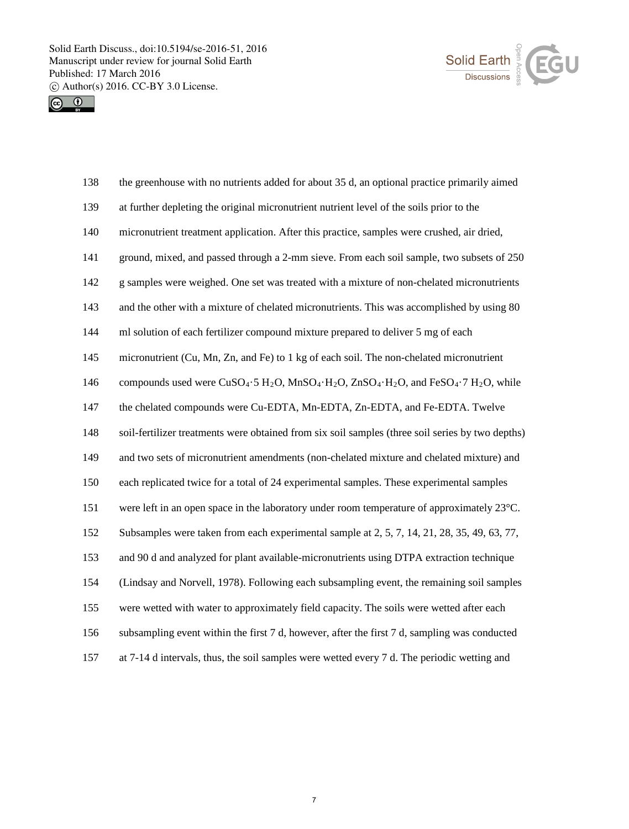



| 138 | the greenhouse with no nutrients added for about 35 d, an optional practice primarily aimed                                                                                           |
|-----|---------------------------------------------------------------------------------------------------------------------------------------------------------------------------------------|
| 139 | at further depleting the original micronutrient nutrient level of the soils prior to the                                                                                              |
| 140 | micronutrient treatment application. After this practice, samples were crushed, air dried,                                                                                            |
| 141 | ground, mixed, and passed through a 2-mm sieve. From each soil sample, two subsets of 250                                                                                             |
| 142 | g samples were weighed. One set was treated with a mixture of non-chelated micronutrients                                                                                             |
| 143 | and the other with a mixture of chelated micronutrients. This was accomplished by using 80                                                                                            |
| 144 | ml solution of each fertilizer compound mixture prepared to deliver 5 mg of each                                                                                                      |
| 145 | micronutrient (Cu, Mn, Zn, and Fe) to 1 kg of each soil. The non-chelated micronutrient                                                                                               |
| 146 | compounds used were CuSO <sub>4</sub> .5 H <sub>2</sub> O, MnSO <sub>4</sub> .H <sub>2</sub> O, ZnSO <sub>4</sub> .H <sub>2</sub> O, and FeSO <sub>4</sub> .7 H <sub>2</sub> O, while |
| 147 | the chelated compounds were Cu-EDTA, Mn-EDTA, Zn-EDTA, and Fe-EDTA. Twelve                                                                                                            |
| 148 | soil-fertilizer treatments were obtained from six soil samples (three soil series by two depths)                                                                                      |
| 149 | and two sets of micronutrient amendments (non-chelated mixture and chelated mixture) and                                                                                              |
| 150 | each replicated twice for a total of 24 experimental samples. These experimental samples                                                                                              |
| 151 | were left in an open space in the laboratory under room temperature of approximately 23°C.                                                                                            |
| 152 | Subsamples were taken from each experimental sample at 2, 5, 7, 14, 21, 28, 35, 49, 63, 77,                                                                                           |
| 153 | and 90 d and analyzed for plant available-micronutrients using DTPA extraction technique                                                                                              |
| 154 | (Lindsay and Norvell, 1978). Following each subsampling event, the remaining soil samples                                                                                             |
| 155 | were wetted with water to approximately field capacity. The soils were wetted after each                                                                                              |
| 156 | subsampling event within the first 7 d, however, after the first 7 d, sampling was conducted                                                                                          |
| 157 | at $7-14$ d intervals, thus, the soil samples were wetted every 7 d. The periodic wetting and                                                                                         |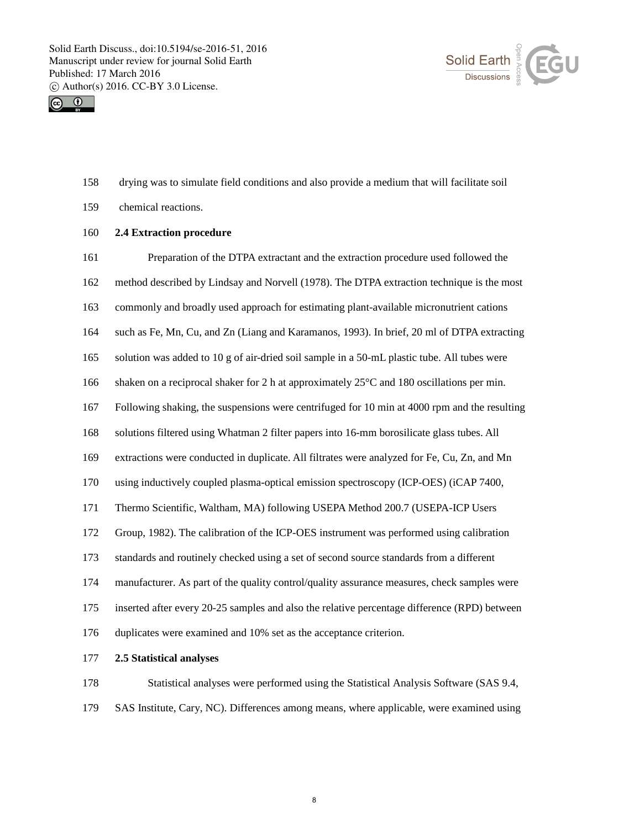



- 158 drying was to simulate field conditions and also provide a medium that will facilitate soil
- 159 chemical reactions.

### 160 **2.4 Extraction procedure**

161 Preparation of the DTPA extractant and the extraction procedure used followed the 162 method described by Lindsay and Norvell (1978). The DTPA extraction technique is the most 163 commonly and broadly used approach for estimating plant-available micronutrient cations 164 such as Fe, Mn, Cu, and Zn (Liang and Karamanos, 1993). In brief, 20 ml of DTPA extracting 165 solution was added to 10 g of air-dried soil sample in a 50-mL plastic tube. All tubes were 166 shaken on a reciprocal shaker for 2 h at approximately 25<sup>o</sup>C and 180 oscillations per min. 167 Following shaking, the suspensions were centrifuged for 10 min at 4000 rpm and the resulting 168 solutions filtered using Whatman 2 filter papers into 16-mm borosilicate glass tubes. All 169 extractions were conducted in duplicate. All filtrates were analyzed for Fe, Cu, Zn, and Mn 170 using inductively coupled plasma-optical emission spectroscopy (ICP-OES) (iCAP 7400, 171 Thermo Scientific, Waltham, MA) following USEPA Method 200.7 (USEPA-ICP Users 172 Group, 1982). The calibration of the ICP-OES instrument was performed using calibration 173 standards and routinely checked using a set of second source standards from a different 174 manufacturer. As part of the quality control/quality assurance measures, check samples were 175 inserted after every 20-25 samples and also the relative percentage difference (RPD) between 176 duplicates were examined and 10% set as the acceptance criterion. 177 **2.5 Statistical analyses** 

- 
- 178 Statistical analyses were performed using the Statistical Analysis Software (SAS 9.4, 179 SAS Institute, Cary, NC). Differences among means, where applicable, were examined using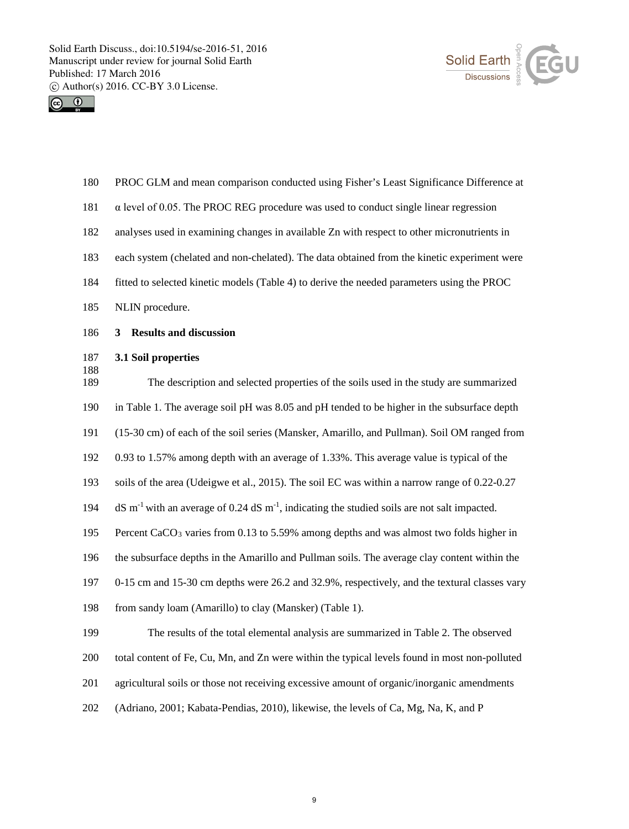



| 180        | PROC GLM and mean comparison conducted using Fisher's Least Significance Difference at                                |
|------------|-----------------------------------------------------------------------------------------------------------------------|
| 181        | $\alpha$ level of 0.05. The PROC REG procedure was used to conduct single linear regression                           |
| 182        | analyses used in examining changes in available Zn with respect to other micronutrients in                            |
| 183        | each system (chelated and non-chelated). The data obtained from the kinetic experiment were                           |
| 184        | fitted to selected kinetic models (Table 4) to derive the needed parameters using the PROC                            |
| 185        | NLIN procedure.                                                                                                       |
| 186        | <b>Results and discussion</b><br>3                                                                                    |
| 187        | 3.1 Soil properties                                                                                                   |
| 188<br>189 | The description and selected properties of the soils used in the study are summarized                                 |
| 190        | in Table 1. The average soil pH was 8.05 and pH tended to be higher in the subsurface depth                           |
| 191        | (15-30 cm) of each of the soil series (Mansker, Amarillo, and Pullman). Soil OM ranged from                           |
| 192        | 0.93 to 1.57% among depth with an average of 1.33%. This average value is typical of the                              |
| 193        | soils of the area (Udeigwe et al., 2015). The soil EC was within a narrow range of 0.22-0.27                          |
| 194        | $dS$ m <sup>-1</sup> with an average of 0.24 dS m <sup>-1</sup> , indicating the studied soils are not salt impacted. |
| 195        | Percent CaCO <sub>3</sub> varies from 0.13 to 5.59% among depths and was almost two folds higher in                   |
| 196        | the subsurface depths in the Amarillo and Pullman soils. The average clay content within the                          |
| 197        | 0-15 cm and 15-30 cm depths were 26.2 and 32.9%, respectively, and the textural classes vary                          |
| 198        | from sandy loam (Amarillo) to clay (Mansker) (Table 1).                                                               |
| 199        | The results of the total elemental analysis are summarized in Table 2. The observed                                   |
| 200        | total content of Fe, Cu, Mn, and Zn were within the typical levels found in most non-polluted                         |
| 201        | agricultural soils or those not receiving excessive amount of organic/inorganic amendments                            |
| 202        | (Adriano, 2001; Kabata-Pendias, 2010), likewise, the levels of Ca, Mg, Na, K, and P                                   |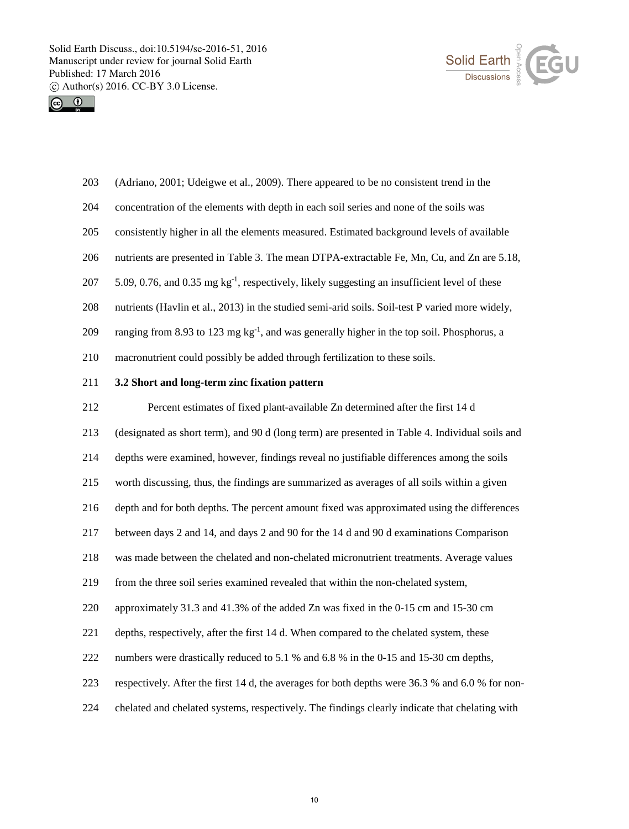



- 203 (Adriano, 2001; Udeigwe et al., 2009). There appeared to be no consistent trend in the
- 204 concentration of the elements with depth in each soil series and none of the soils was
- 205 consistently higher in all the elements measured. Estimated background levels of available
- 206 nutrients are presented in Table 3. The mean DTPA-extractable Fe, Mn, Cu, and Zn are 5.18,
- 207 5.09, 0.76, and 0.35 mg kg<sup>-1</sup>, respectively, likely suggesting an insufficient level of these
- 208 nutrients (Havlin et al., 2013) in the studied semi-arid soils. Soil-test P varied more widely,
- 209 ranging from 8.93 to 123 mg  $kg^{-1}$ , and was generally higher in the top soil. Phosphorus, a
- 210 macronutrient could possibly be added through fertilization to these soils.

### 211 **3.2 Short and long-term zinc fixation pattern**

212 Percent estimates of fixed plant-available Zn determined after the first 14 d

213 (designated as short term), and 90 d (long term) are presented in Table 4. Individual soils and

- 214 depths were examined, however, findings reveal no justifiable differences among the soils
- 215 worth discussing, thus, the findings are summarized as averages of all soils within a given
- 216 depth and for both depths. The percent amount fixed was approximated using the differences
- 217 between days 2 and 14, and days 2 and 90 for the 14 d and 90 d examinations Comparison
- 218 was made between the chelated and non-chelated micronutrient treatments. Average values
- 219 from the three soil series examined revealed that within the non-chelated system,
- 220 approximately 31.3 and 41.3% of the added Zn was fixed in the 0-15 cm and 15-30 cm
- 221 depths, respectively, after the first 14 d. When compared to the chelated system, these
- 222 numbers were drastically reduced to 5.1 % and 6.8 % in the 0-15 and 15-30 cm depths,
- 223 respectively. After the first 14 d, the averages for both depths were 36.3 % and 6.0 % for non-
- 224 chelated and chelated systems, respectively. The findings clearly indicate that chelating with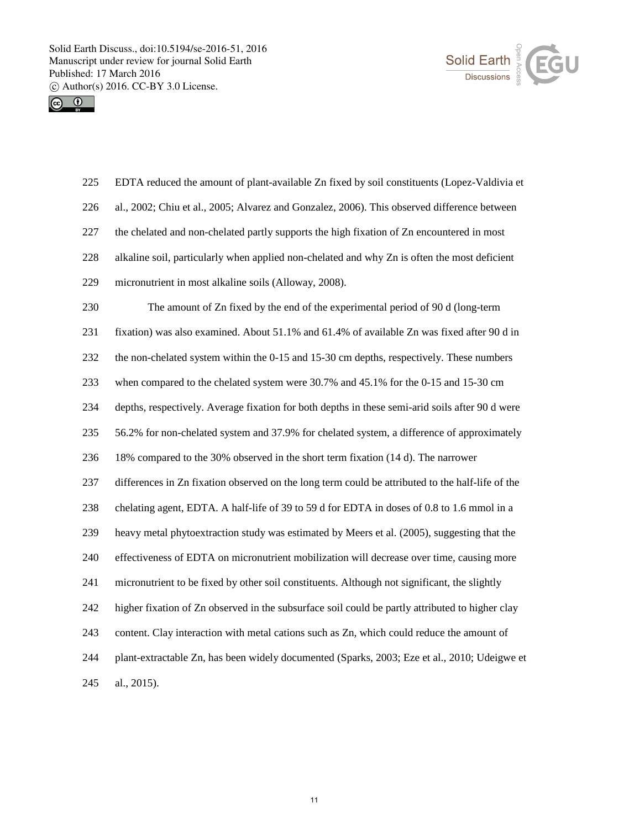



| 225 | EDTA reduced the amount of plant-available Zn fixed by soil constituents (Lopez-Valdivia et      |
|-----|--------------------------------------------------------------------------------------------------|
| 226 | al., 2002; Chiu et al., 2005; Alvarez and Gonzalez, 2006). This observed difference between      |
| 227 | the chelated and non-chelated partly supports the high fixation of Zn encountered in most        |
| 228 | alkaline soil, particularly when applied non-chelated and why Zn is often the most deficient     |
| 229 | micronutrient in most alkaline soils (Alloway, 2008).                                            |
| 230 | The amount of Zn fixed by the end of the experimental period of 90 d (long-term                  |
| 231 | fixation) was also examined. About 51.1% and 61.4% of available Zn was fixed after 90 d in       |
| 232 | the non-chelated system within the 0-15 and 15-30 cm depths, respectively. These numbers         |
| 233 | when compared to the chelated system were 30.7% and 45.1% for the 0-15 and 15-30 cm              |
| 234 | depths, respectively. Average fixation for both depths in these semi-arid soils after 90 d were  |
| 235 | 56.2% for non-chelated system and 37.9% for chelated system, a difference of approximately       |
| 236 | 18% compared to the 30% observed in the short term fixation (14 d). The narrower                 |
| 237 | differences in Zn fixation observed on the long term could be attributed to the half-life of the |
| 238 | chelating agent, EDTA. A half-life of 39 to 59 d for EDTA in doses of 0.8 to 1.6 mmol in a       |
| 239 | heavy metal phytoextraction study was estimated by Meers et al. (2005), suggesting that the      |
| 240 | effectiveness of EDTA on micronutrient mobilization will decrease over time, causing more        |
| 241 | micronutrient to be fixed by other soil constituents. Although not significant, the slightly     |
| 242 | higher fixation of Zn observed in the subsurface soil could be partly attributed to higher clay  |
| 243 | content. Clay interaction with metal cations such as Zn, which could reduce the amount of        |
| 244 | plant-extractable Zn, has been widely documented (Sparks, 2003; Eze et al., 2010; Udeigwe et     |
| 245 | al., 2015).                                                                                      |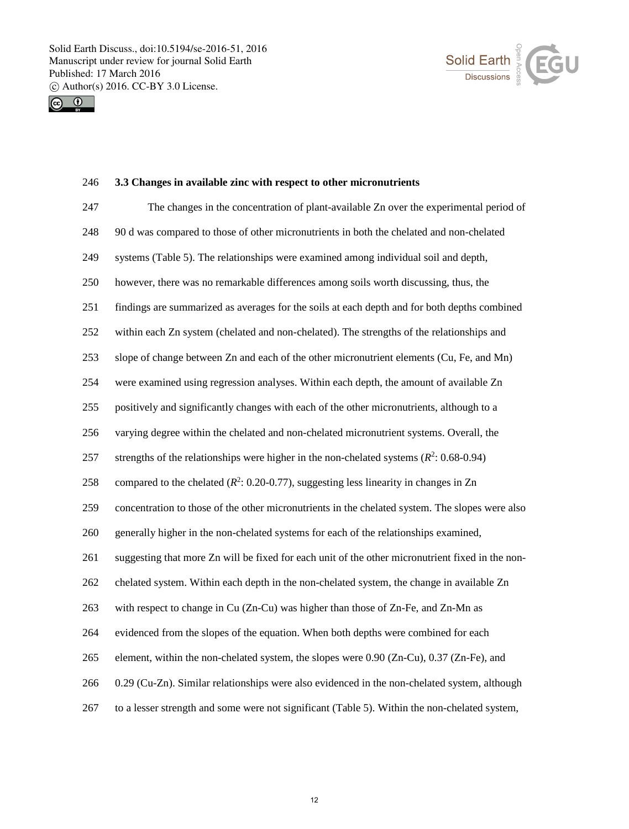



# 246 **3.3 Changes in available zinc with respect to other micronutrients**

| 247 | The changes in the concentration of plant-available Zn over the experimental period of           |
|-----|--------------------------------------------------------------------------------------------------|
| 248 | 90 d was compared to those of other micronutrients in both the chelated and non-chelated         |
| 249 | systems (Table 5). The relationships were examined among individual soil and depth,              |
| 250 | however, there was no remarkable differences among soils worth discussing, thus, the             |
| 251 | findings are summarized as averages for the soils at each depth and for both depths combined     |
| 252 | within each Zn system (chelated and non-chelated). The strengths of the relationships and        |
| 253 | slope of change between Zn and each of the other micronutrient elements (Cu, Fe, and Mn)         |
| 254 | were examined using regression analyses. Within each depth, the amount of available Zn           |
| 255 | positively and significantly changes with each of the other micronutrients, although to a        |
| 256 | varying degree within the chelated and non-chelated micronutrient systems. Overall, the          |
| 257 | strengths of the relationships were higher in the non-chelated systems ( $R^2$ : 0.68-0.94)      |
| 258 | compared to the chelated ( $R^2$ : 0.20-0.77), suggesting less linearity in changes in Zn        |
| 259 | concentration to those of the other micronutrients in the chelated system. The slopes were also  |
| 260 | generally higher in the non-chelated systems for each of the relationships examined,             |
| 261 | suggesting that more Zn will be fixed for each unit of the other micronutrient fixed in the non- |
| 262 | chelated system. Within each depth in the non-chelated system, the change in available Zn        |
| 263 | with respect to change in Cu (Zn-Cu) was higher than those of Zn-Fe, and Zn-Mn as                |
| 264 | evidenced from the slopes of the equation. When both depths were combined for each               |
| 265 | element, within the non-chelated system, the slopes were 0.90 (Zn-Cu), 0.37 (Zn-Fe), and         |
| 266 | 0.29 (Cu-Zn). Similar relationships were also evidenced in the non-chelated system, although     |
| 267 | to a lesser strength and some were not significant (Table 5). Within the non-chelated system,    |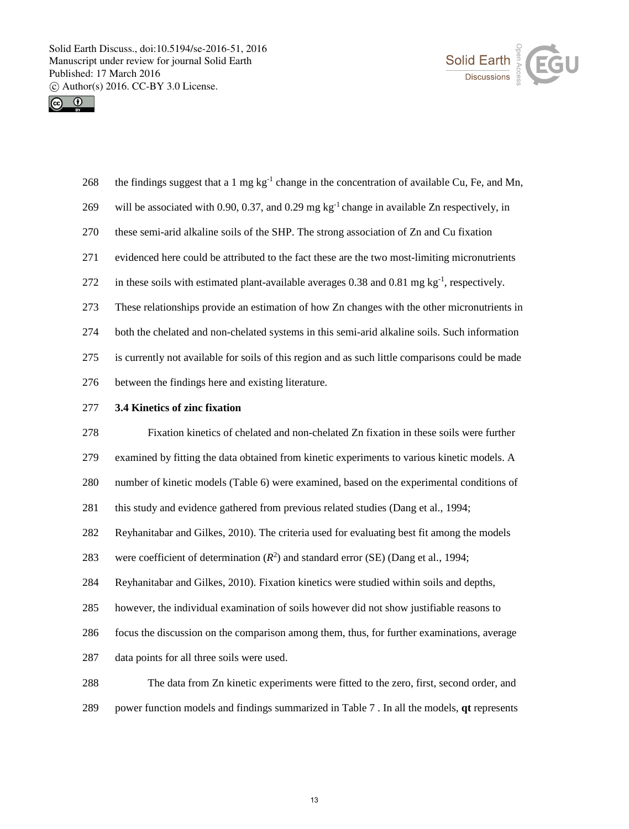



268 the findings suggest that a 1 mg  $kg^{-1}$  change in the concentration of available Cu, Fe, and Mn, 269 will be associated with 0.90, 0.37, and 0.29 mg  $kg^{-1}$  change in available Zn respectively, in 270 these semi-arid alkaline soils of the SHP. The strong association of Zn and Cu fixation 271 evidenced here could be attributed to the fact these are the two most-limiting micronutrients 272 in these soils with estimated plant-available averages 0.38 and 0.81 mg  $kg^{-1}$ , respectively. 273 These relationships provide an estimation of how Zn changes with the other micronutrients in 274 both the chelated and non-chelated systems in this semi-arid alkaline soils. Such information 275 is currently not available for soils of this region and as such little comparisons could be made 276 between the findings here and existing literature. 277 **3.4 Kinetics of zinc fixation**  278 Fixation kinetics of chelated and non-chelated Zn fixation in these soils were further 279 examined by fitting the data obtained from kinetic experiments to various kinetic models. A 280 number of kinetic models (Table 6) were examined, based on the experimental conditions of 281 this study and evidence gathered from previous related studies (Dang et al., 1994; 282 Reyhanitabar and Gilkes, 2010). The criteria used for evaluating best fit among the models 283 were coefficient of determination  $(R^2)$  and standard error (SE) (Dang et al., 1994; 284 Reyhanitabar and Gilkes, 2010). Fixation kinetics were studied within soils and depths, 285 however, the individual examination of soils however did not show justifiable reasons to

286 focus the discussion on the comparison among them, thus, for further examinations, average

287 data points for all three soils were used.

288 The data from Zn kinetic experiments were fitted to the zero, first, second order, and 289 power function models and findings summarized in Table 7 . In all the models, **qt** represents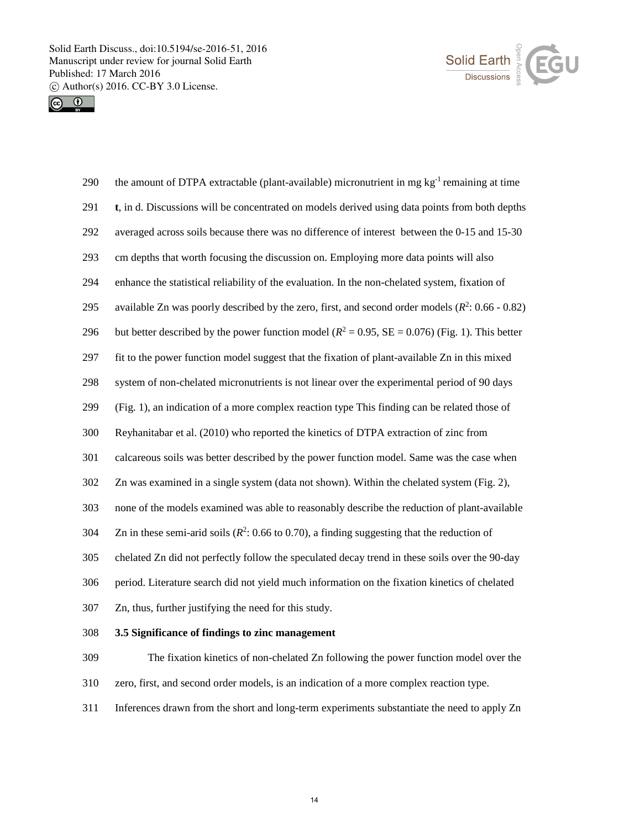



| 290 | the amount of DTPA extractable (plant-available) micronutrient in mg kg <sup>-1</sup> remaining at time |
|-----|---------------------------------------------------------------------------------------------------------|
| 291 | t, in d. Discussions will be concentrated on models derived using data points from both depths          |
| 292 | averaged across soils because there was no difference of interest between the 0-15 and 15-30            |
| 293 | cm depths that worth focusing the discussion on. Employing more data points will also                   |
| 294 | enhance the statistical reliability of the evaluation. In the non-chelated system, fixation of          |
| 295 | available Zn was poorly described by the zero, first, and second order models $(R^2: 0.66 - 0.82)$      |
| 296 | but better described by the power function model ( $R^2 = 0.95$ , SE = 0.076) (Fig. 1). This better     |
| 297 | fit to the power function model suggest that the fixation of plant-available Zn in this mixed           |
| 298 | system of non-chelated micronutrients is not linear over the experimental period of 90 days             |
| 299 | (Fig. 1), an indication of a more complex reaction type This finding can be related those of            |
| 300 | Reyhanitabar et al. (2010) who reported the kinetics of DTPA extraction of zinc from                    |
| 301 | calcareous soils was better described by the power function model. Same was the case when               |
| 302 | Zn was examined in a single system (data not shown). Within the chelated system (Fig. 2),               |
| 303 | none of the models examined was able to reasonably describe the reduction of plant-available            |
| 304 | Zn in these semi-arid soils ( $R^2$ : 0.66 to 0.70), a finding suggesting that the reduction of         |
| 305 | chelated Zn did not perfectly follow the speculated decay trend in these soils over the 90-day          |
| 306 | period. Literature search did not yield much information on the fixation kinetics of chelated           |
| 307 | Zn, thus, further justifying the need for this study.                                                   |
| 308 | 3.5 Significance of findings to zinc management                                                         |

- 309 The fixation kinetics of non-chelated Zn following the power function model over the 310 zero, first, and second order models, is an indication of a more complex reaction type.
- 311 Inferences drawn from the short and long-term experiments substantiate the need to apply Zn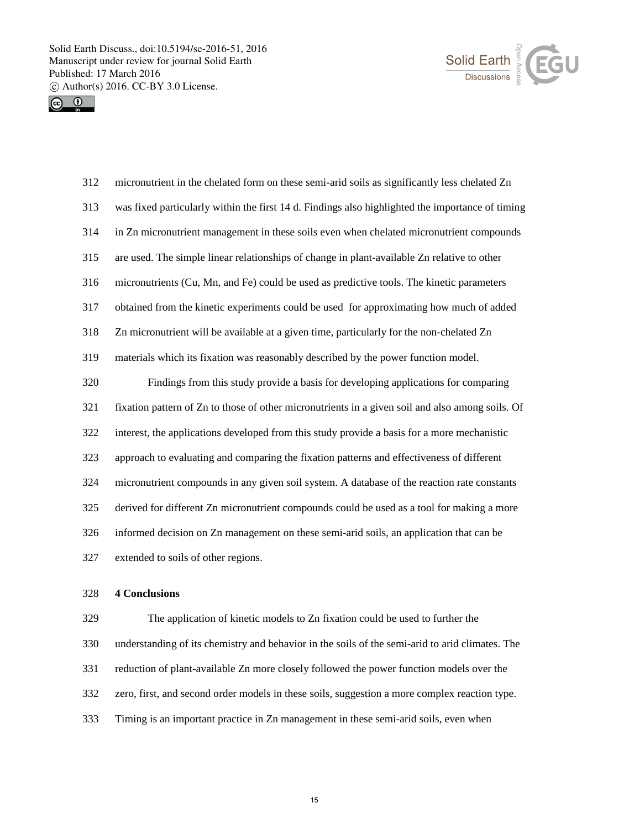



| 312 | micronutrient in the chelated form on these semi-arid soils as significantly less chelated Zn    |
|-----|--------------------------------------------------------------------------------------------------|
| 313 | was fixed particularly within the first 14 d. Findings also highlighted the importance of timing |
| 314 | in Zn micronutrient management in these soils even when chelated micronutrient compounds         |
| 315 | are used. The simple linear relationships of change in plant-available Zn relative to other      |
| 316 | micronutrients (Cu, Mn, and Fe) could be used as predictive tools. The kinetic parameters        |
| 317 | obtained from the kinetic experiments could be used for approximating how much of added          |
| 318 | Zn micronutrient will be available at a given time, particularly for the non-chelated Zn         |
| 319 | materials which its fixation was reasonably described by the power function model.               |
| 320 | Findings from this study provide a basis for developing applications for comparing               |
| 321 | fixation pattern of Zn to those of other micronutrients in a given soil and also among soils. Of |
| 322 | interest, the applications developed from this study provide a basis for a more mechanistic      |
| 323 | approach to evaluating and comparing the fixation patterns and effectiveness of different        |
| 324 | micronutrient compounds in any given soil system. A database of the reaction rate constants      |
|     |                                                                                                  |
| 325 | derived for different Zn micronutrient compounds could be used as a tool for making a more       |
| 326 | informed decision on Zn management on these semi-arid soils, an application that can be          |

### 328 **4 Conclusions**

329 The application of kinetic models to Zn fixation could be used to further the 330 understanding of its chemistry and behavior in the soils of the semi-arid to arid climates. The 331 reduction of plant-available Zn more closely followed the power function models over the 332 zero, first, and second order models in these soils, suggestion a more complex reaction type. 333 Timing is an important practice in Zn management in these semi-arid soils, even when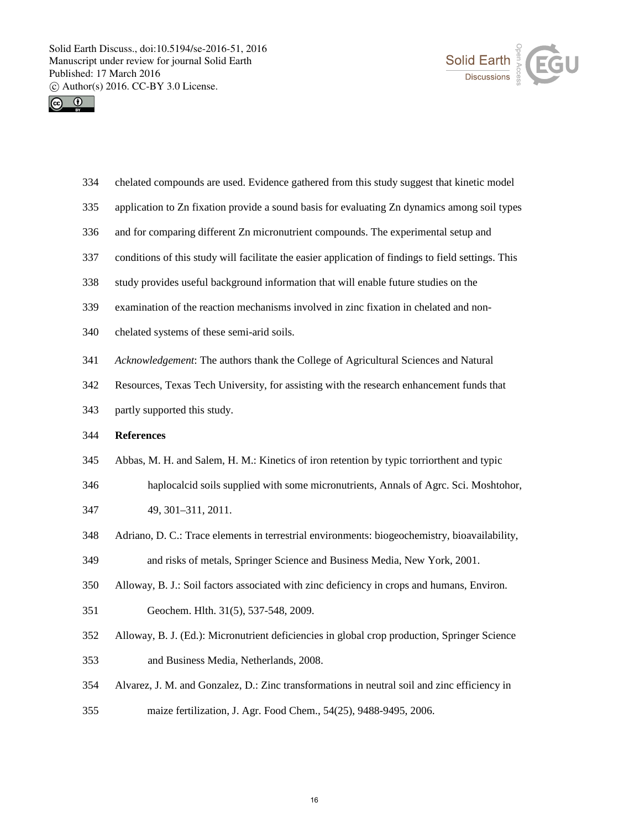



- 334 chelated compounds are used. Evidence gathered from this study suggest that kinetic model
- 335 application to Zn fixation provide a sound basis for evaluating Zn dynamics among soil types
- 336 and for comparing different Zn micronutrient compounds. The experimental setup and
- 337 conditions of this study will facilitate the easier application of findings to field settings. This
- 338 study provides useful background information that will enable future studies on the
- 339 examination of the reaction mechanisms involved in zinc fixation in chelated and non-
- 340 chelated systems of these semi-arid soils.
- 341 *Acknowledgement*: The authors thank the College of Agricultural Sciences and Natural
- 342 Resources, Texas Tech University, for assisting with the research enhancement funds that
- 343 partly supported this study.
- 344 **References**
- 345 Abbas, M. H. and Salem, H. M.: Kinetics of iron retention by typic torriorthent and typic
- 346 haplocalcid soils supplied with some micronutrients, Annals of Agrc. Sci. Moshtohor,
- 347 49, 301–311, 2011.
- 348 Adriano, D. C.: Trace elements in terrestrial environments: biogeochemistry, bioavailability,
- 349 and risks of metals, Springer Science and Business Media, New York, 2001.
- 350 Alloway, B. J.: Soil factors associated with zinc deficiency in crops and humans, Environ.
- 351 Geochem. Hlth. 31(5), 537-548, 2009.
- 352 Alloway, B. J. (Ed.): Micronutrient deficiencies in global crop production, Springer Science 353 and Business Media, Netherlands, 2008.
- 354 Alvarez, J. M. and Gonzalez, D.: Zinc transformations in neutral soil and zinc efficiency in
- 355 maize fertilization, J. Agr. Food Chem., 54(25), 9488-9495, 2006.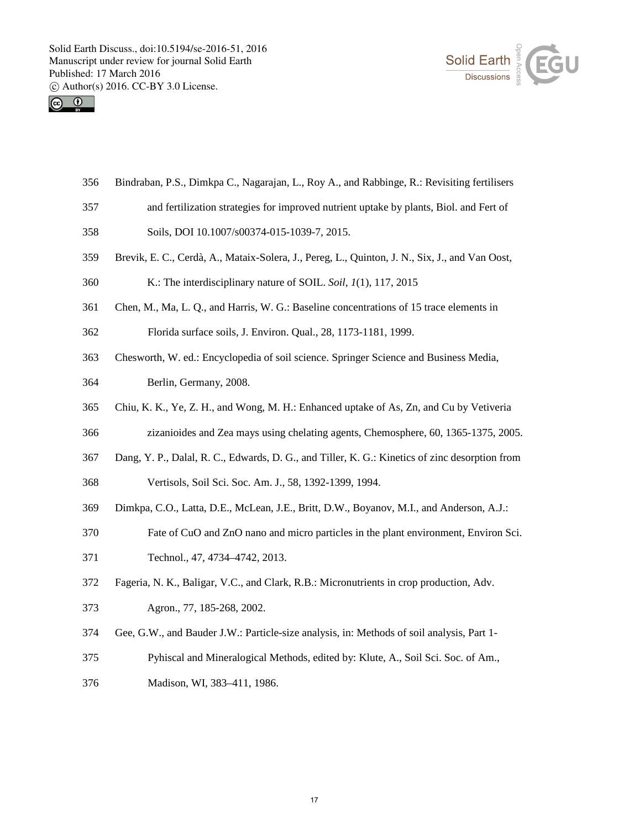



- 356 Bindraban, P.S., Dimkpa C., Nagarajan, L., Roy A., and Rabbinge, R.: Revisiting fertilisers
- 357 and fertilization strategies for improved nutrient uptake by plants, Biol. and Fert of
- 358 Soils, DOI 10.1007/s00374-015-1039-7, 2015.
- 359 Brevik, E. C., Cerdà, A., Mataix-Solera, J., Pereg, L., Quinton, J. N., Six, J., and Van Oost,
- 360 K.: The interdisciplinary nature of SOIL. *Soil*, *1*(1), 117, 2015
- 361 Chen, M., Ma, L. Q., and Harris, W. G.: Baseline concentrations of 15 trace elements in
- 362 Florida surface soils, J. Environ. Qual., 28, 1173-1181, 1999.
- 363 Chesworth, W. ed.: Encyclopedia of soil science. Springer Science and Business Media,
- 364 Berlin, Germany, 2008.
- 365 Chiu, K. K., Ye, Z. H., and Wong, M. H.: Enhanced uptake of As, Zn, and Cu by Vetiveria
- 366 zizanioides and Zea mays using chelating agents, Chemosphere, 60, 1365-1375, 2005.
- 367 Dang, Y. P., Dalal, R. C., Edwards, D. G., and Tiller, K. G.: Kinetics of zinc desorption from
- 368 Vertisols, Soil Sci. Soc. Am. J., 58, 1392-1399, 1994.
- 369 Dimkpa, C.O., Latta, D.E., McLean, J.E., Britt, D.W., Boyanov, M.I., and Anderson, A.J.:
- 370 Fate of CuO and ZnO nano and micro particles in the plant environment, Environ Sci.
- 371 Technol., 47, 4734–4742, 2013.
- 372 Fageria, N. K., Baligar, V.C., and Clark, R.B.: Micronutrients in crop production, Adv.
- 373 Agron., 77, 185-268, 2002.
- 374 Gee, G.W., and Bauder J.W.: Particle-size analysis, in: Methods of soil analysis, Part 1-
- 375 Pyhiscal and Mineralogical Methods, edited by: Klute, A., Soil Sci. Soc. of Am.,
- 376 Madison, WI, 383–411, 1986.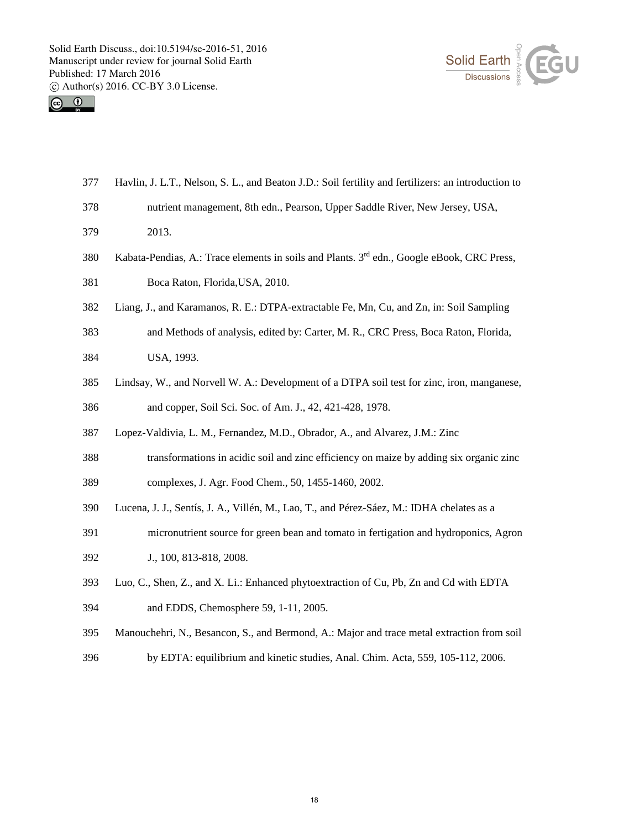



- 377 Havlin, J. L.T., Nelson, S. L., and Beaton J.D.: Soil fertility and fertilizers: an introduction to
- 378 nutrient management, 8th edn., Pearson, Upper Saddle River, New Jersey, USA,
- 379 2013.
- 380 Kabata-Pendias, A.: Trace elements in soils and Plants. 3<sup>rd</sup> edn., Google eBook, CRC Press,
- 381 Boca Raton, Florida,USA, 2010.
- 382 Liang, J., and Karamanos, R. E.: DTPA-extractable Fe, Mn, Cu, and Zn, in: Soil Sampling
- 383 and Methods of analysis, edited by: Carter, M. R., CRC Press, Boca Raton, Florida, 384 USA, 1993.
- 385 Lindsay, W., and Norvell W. A.: Development of a DTPA soil test for zinc, iron, manganese,
- 386 and copper, Soil Sci. Soc. of Am. J., 42, 421-428, 1978.
- 387 Lopez-Valdivia, L. M., Fernandez, M.D., Obrador, A., and Alvarez, J.M.: Zinc
- 388 transformations in acidic soil and zinc efficiency on maize by adding six organic zinc
- 389 complexes, J. Agr. Food Chem., 50, 1455-1460, 2002.
- 390 Lucena, J. J., Sentís, J. A., Villén, M., Lao, T., and Pérez-Sáez, M.: IDHA chelates as a
- 391 micronutrient source for green bean and tomato in fertigation and hydroponics, Agron 392 J., 100, 813-818, 2008.
- 393 Luo, C., Shen, Z., and X. Li.: Enhanced phytoextraction of Cu, Pb, Zn and Cd with EDTA
- 394 and EDDS, Chemosphere 59, 1-11, 2005.
- 395 Manouchehri, N., Besancon, S., and Bermond, A.: Major and trace metal extraction from soil
- 396 by EDTA: equilibrium and kinetic studies, Anal. Chim. Acta, 559, 105-112, 2006.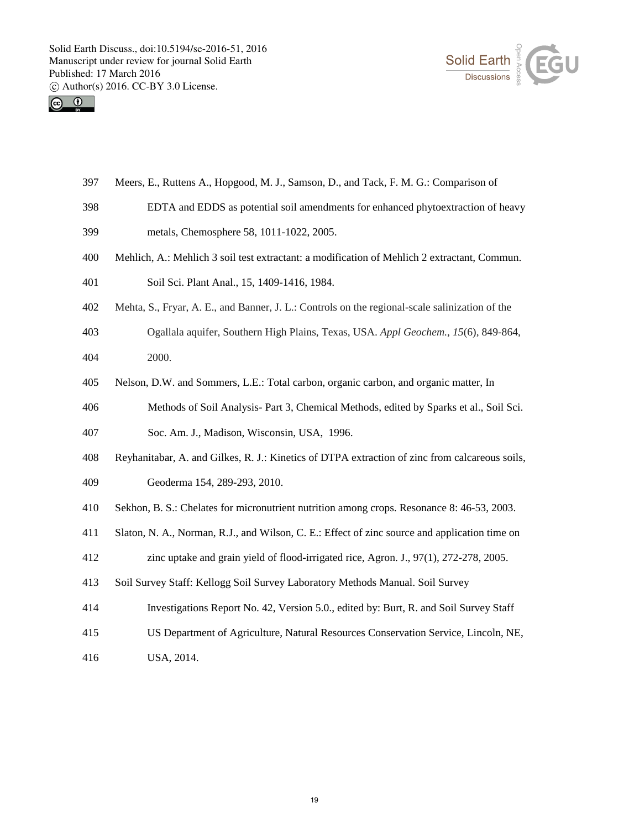



- 397 Meers, E., Ruttens A., Hopgood, M. J., Samson, D., and Tack, F. M. G.: Comparison of
- 398 EDTA and EDDS as potential soil amendments for enhanced phytoextraction of heavy
- 399 metals, Chemosphere 58, 1011-1022, 2005.
- 400 Mehlich, A.: Mehlich 3 soil test extractant: a modification of Mehlich 2 extractant, Commun.
- 401 Soil Sci. Plant Anal., 15, 1409-1416, 1984.
- 402 Mehta, S., Fryar, A. E., and Banner, J. L.: Controls on the regional-scale salinization of the
- 403 Ogallala aquifer, Southern High Plains, Texas, USA. *Appl Geochem.*, *15*(6), 849-864, 404 2000.
- 405 Nelson, D.W. and Sommers, L.E.: Total carbon, organic carbon, and organic matter, In
- 406 Methods of Soil Analysis- Part 3, Chemical Methods, edited by Sparks et al., Soil Sci.
- 407 Soc. Am. J., Madison, Wisconsin, USA, 1996.
- 408 Reyhanitabar, A. and Gilkes, R. J.: Kinetics of DTPA extraction of zinc from calcareous soils, 409 Geoderma 154, 289-293, 2010.
- 410 Sekhon, B. S.: Chelates for micronutrient nutrition among crops. Resonance 8: 46-53, 2003.
- 411 Slaton, N. A., Norman, R.J., and Wilson, C. E.: Effect of zinc source and application time on
- 412 zinc uptake and grain yield of flood-irrigated rice, Agron. J., 97(1), 272-278, 2005.
- 413 Soil Survey Staff: Kellogg Soil Survey Laboratory Methods Manual. Soil Survey
- 414 Investigations Report No. 42, Version 5.0., edited by: Burt, R. and Soil Survey Staff
- 415 US Department of Agriculture, Natural Resources Conservation Service, Lincoln, NE,
- 416 USA, 2014.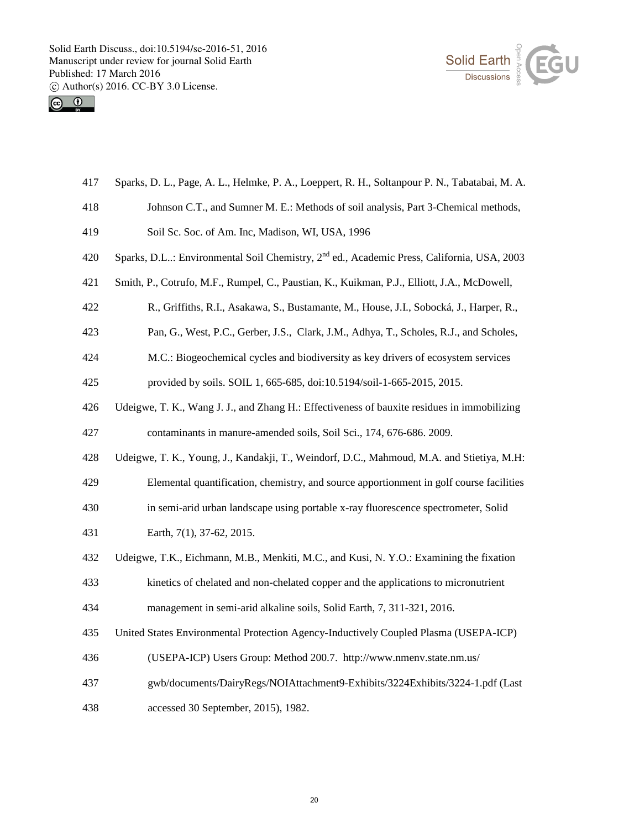



| 417 | Sparks, D. L., Page, A. L., Helmke, P. A., Loeppert, R. H., Soltanpour P. N., Tabatabai, M. A.        |
|-----|-------------------------------------------------------------------------------------------------------|
| 418 | Johnson C.T., and Sumner M. E.: Methods of soil analysis, Part 3-Chemical methods,                    |
| 419 | Soil Sc. Soc. of Am. Inc, Madison, WI, USA, 1996                                                      |
| 420 | Sparks, D.L: Environmental Soil Chemistry, 2 <sup>nd</sup> ed., Academic Press, California, USA, 2003 |
| 421 | Smith, P., Cotrufo, M.F., Rumpel, C., Paustian, K., Kuikman, P.J., Elliott, J.A., McDowell,           |
| 422 | R., Griffiths, R.I., Asakawa, S., Bustamante, M., House, J.I., Sobocká, J., Harper, R.,               |
| 423 | Pan, G., West, P.C., Gerber, J.S., Clark, J.M., Adhya, T., Scholes, R.J., and Scholes,                |
| 424 | M.C.: Biogeochemical cycles and biodiversity as key drivers of ecosystem services                     |
| 425 | provided by soils. SOIL 1, 665-685, doi:10.5194/soil-1-665-2015, 2015.                                |
| 426 | Udeigwe, T. K., Wang J. J., and Zhang H.: Effectiveness of bauxite residues in immobilizing           |
| 427 | contaminants in manure-amended soils, Soil Sci., 174, 676-686. 2009.                                  |
| 428 | Udeigwe, T. K., Young, J., Kandakji, T., Weindorf, D.C., Mahmoud, M.A. and Stietiya, M.H.             |
| 429 | Elemental quantification, chemistry, and source apportionment in golf course facilities               |
| 430 | in semi-arid urban landscape using portable x-ray fluorescence spectrometer, Solid                    |
| 431 | Earth, 7(1), 37-62, 2015.                                                                             |
| 432 | Udeigwe, T.K., Eichmann, M.B., Menkiti, M.C., and Kusi, N.Y.O.: Examining the fixation                |
| 433 | kinetics of chelated and non-chelated copper and the applications to micronutrient                    |
| 434 | management in semi-arid alkaline soils, Solid Earth, 7, 311-321, 2016.                                |
| 435 | United States Environmental Protection Agency-Inductively Coupled Plasma (USEPA-ICP)                  |
| 436 | (USEPA-ICP) Users Group: Method 200.7. http://www.nmenv.state.nm.us/                                  |
| 437 | gwb/documents/DairyRegs/NOIAttachment9-Exhibits/3224Exhibits/3224-1.pdf (Last                         |
| 438 | accessed 30 September, 2015), 1982.                                                                   |
|     |                                                                                                       |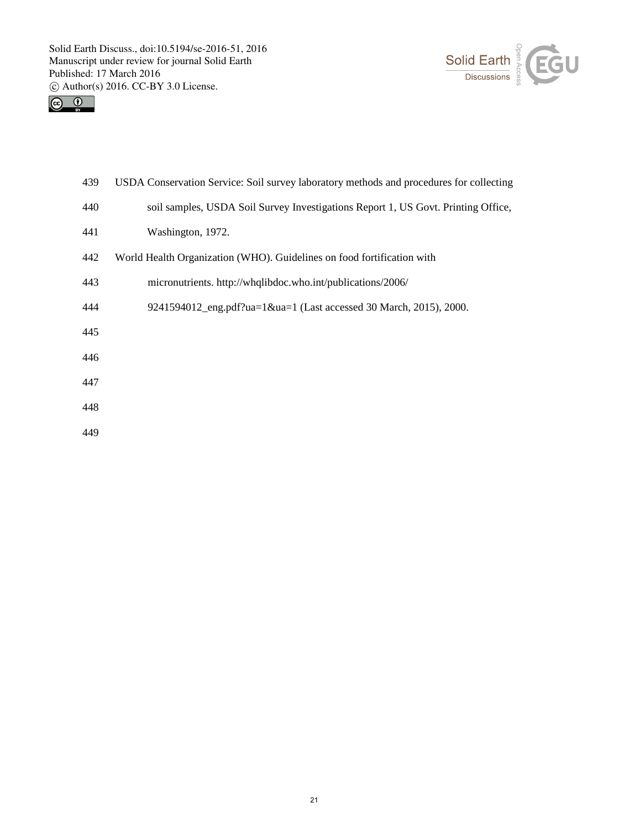



| 439 | USDA Conservation Service: Soil survey laboratory methods and procedures for collecting |
|-----|-----------------------------------------------------------------------------------------|
| 440 | soil samples, USDA Soil Survey Investigations Report 1, US Govt. Printing Office,       |
| 441 | Washington, 1972.                                                                       |
| 442 | World Health Organization (WHO). Guidelines on food fortification with                  |
| 443 | micronutrients. http://whqlibdoc.who.int/publications/2006/                             |
| 444 | 9241594012_eng.pdf?ua=1&ua=1 (Last accessed 30 March, 2015), 2000.                      |
| 445 |                                                                                         |
| 446 |                                                                                         |
| 447 |                                                                                         |
| 448 |                                                                                         |
|     |                                                                                         |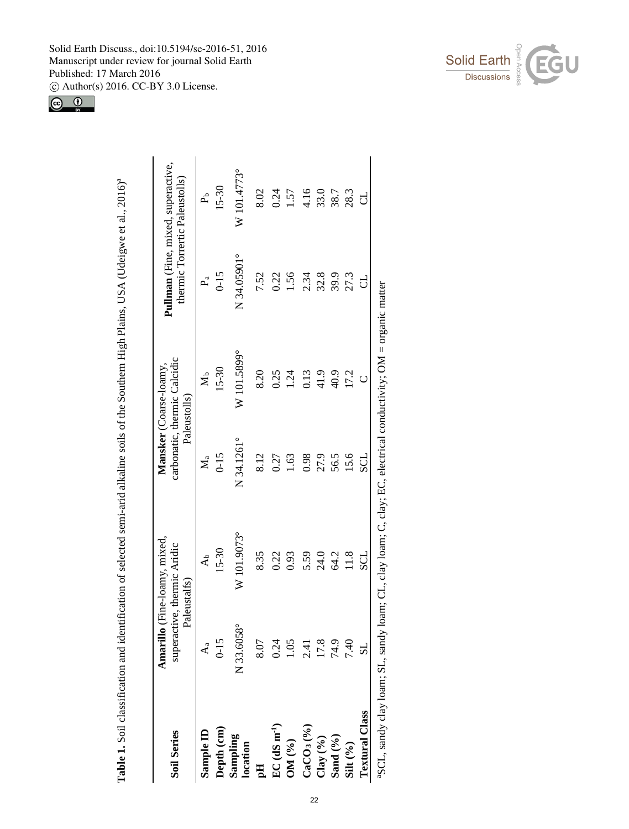Solid Earth Discuss., doi:10.5194/se-2016-51, 2016 Manuscript under review for journal Solid Earth Published: 17 March 2016







| <b>Soil Series</b>         | Amarillo   | Fine-loamy, mixed.<br>superactive, thermic Aridic |                         | carbonatic, thermic Calcidic<br>Mansker (Coarse-loamy, | Pullman (Fine, mixed, superactive, |             |
|----------------------------|------------|---------------------------------------------------|-------------------------|--------------------------------------------------------|------------------------------------|-------------|
|                            |            | Paleustalfs)                                      |                         | Paleustolls)                                           | thermic Torrertic Paleustolls)     |             |
| Sample ID                  | $A_a$      | $\mathbf{A}_{\mathbf{b}}$                         | $\mathbf{N}_\mathrm{a}$ | $\overline{\mathsf{z}}$                                | P.ª                                | Å           |
| Depth (cm)                 | $0 - 15$   | $15 - 30$                                         | $0 - 15$                | 15-30                                                  | $0 - 15$                           | 15-30       |
| Sampling<br>location       | N 33.6058° | W 101.9073°                                       | N 34.1261°              | W 101.5899°                                            | N 34.05901°                        | W 101.4773° |
| Hq                         | 8.07       | 8.35                                              | 8.12                    | 8.20                                                   | 7.52                               | 8.02        |
| $EC$ (dS m <sup>-1</sup> ) | 0.24       | 0.22                                              | 0.27                    | 0.25                                                   | 0.22                               | 0.24        |
| OM (%)                     | 1.05       | 0.93                                              | 1.63                    | 1.24                                                   | 1.56                               | 1.57        |
| $CaCO3(\%)$                | 2.41       | 5.59                                              | 0.98                    | 0.13                                                   | 2.34                               | 4.16        |
| Clay (%)                   | 17.8       | 24.0                                              | 27.9                    | 41.9                                                   | 32.8                               | 33.0        |
| Sand (%)                   | 74.9       | 64.2                                              | 56.5                    | 40.9                                                   | 39.9                               | 38.7        |
| Silt $(%)$                 | 7.40       | 11.8                                              | 15.6                    | 17.2                                                   | 27.3                               | 28.3        |
| <b>Textural Class</b>      |            | SCL                                               | <b>LOS</b>              |                                                        | ರ                                  | F           |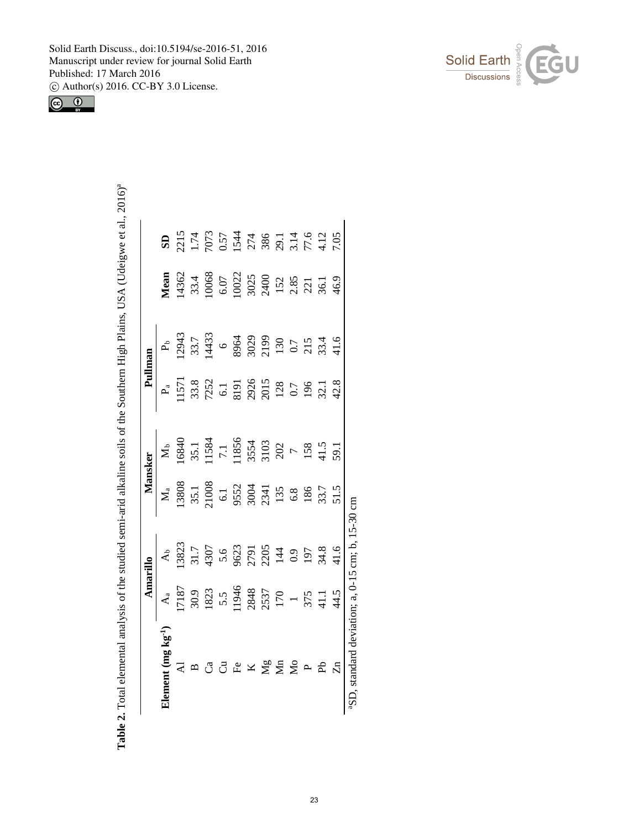



|                               | Amarillo |                                                                                                                                                           |                                                                                                                                                                                                                                              |                                                                                                                                     |                                                           |
|-------------------------------|----------|-----------------------------------------------------------------------------------------------------------------------------------------------------------|----------------------------------------------------------------------------------------------------------------------------------------------------------------------------------------------------------------------------------------------|-------------------------------------------------------------------------------------------------------------------------------------|-----------------------------------------------------------|
|                               |          | M <sub>a</sub> M <sub>b</sub><br>13808 16840<br>13808 11584<br>21008 11584<br>6.1<br>5552 11856<br>9552 11856<br>3554 3103<br>135 202<br>135 7<br>158 158 | $\begin{array}{llllll} \hline \text{P}_a & \text{P}_b \\ 11571 & 12943 \\ 33.8 & 33.7 \\ 7252 & 14433 \\ 8191 & 8964 \\ 2926 & 3029 \\ 2015 & 2199 \\ 130 & 130 \\ 130 & 130 \\ 130 & 131 \\ 131 & 33.4 \\ 42.8 & 41.6 \\\hline \end{array}$ |                                                                                                                                     |                                                           |
|                               |          |                                                                                                                                                           |                                                                                                                                                                                                                                              | <b>Mean</b><br>$4362$<br>$4368$<br>$60068$<br>$60022$<br>$60022$<br>$60022$<br>$60022$<br>$752$<br>$752$<br>$751$<br>$751$<br>$759$ | <b>SD</b><br>2215<br>17473<br>5057448<br>20140001<br>2015 |
|                               |          |                                                                                                                                                           |                                                                                                                                                                                                                                              |                                                                                                                                     |                                                           |
|                               |          |                                                                                                                                                           |                                                                                                                                                                                                                                              |                                                                                                                                     |                                                           |
|                               |          |                                                                                                                                                           |                                                                                                                                                                                                                                              |                                                                                                                                     |                                                           |
|                               |          |                                                                                                                                                           |                                                                                                                                                                                                                                              |                                                                                                                                     |                                                           |
|                               |          |                                                                                                                                                           |                                                                                                                                                                                                                                              |                                                                                                                                     |                                                           |
| A 且 G G G 民 K M S M S D D D G |          |                                                                                                                                                           |                                                                                                                                                                                                                                              |                                                                                                                                     |                                                           |
|                               |          |                                                                                                                                                           |                                                                                                                                                                                                                                              |                                                                                                                                     |                                                           |
|                               |          |                                                                                                                                                           |                                                                                                                                                                                                                                              |                                                                                                                                     |                                                           |
|                               |          |                                                                                                                                                           |                                                                                                                                                                                                                                              |                                                                                                                                     |                                                           |
|                               |          |                                                                                                                                                           |                                                                                                                                                                                                                                              |                                                                                                                                     |                                                           |
|                               |          |                                                                                                                                                           |                                                                                                                                                                                                                                              |                                                                                                                                     |                                                           |

Table 2. Total elemental analysis of the studied semi-arid alkaline soils of the Southern High Plains, USA (Udeigwe et al., 2016)<sup>a</sup> **Table 2.** Total elemental analysis of the studied semi-arid alkaline soils of the Southern High Plains, USA (Udeigwe et al., 2016)a

 $^{a}SD$ , standard deviation; a, 0-15 cm; b, 15-30 cm

aSD, standard deviation; a, 0-15 cm; b, 15-30 cm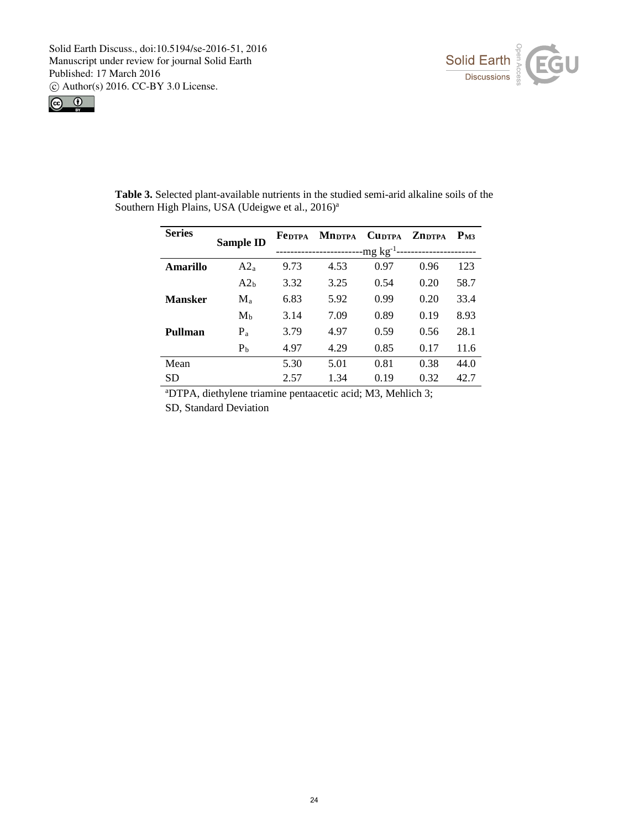



| <b>Table 3.</b> Selected plant-available nutrients in the studied semi-arid alkaline soils of the |  |
|---------------------------------------------------------------------------------------------------|--|
| Southern High Plains, USA (Udeigwe et al., 2016) <sup>a</sup>                                     |  |

| <b>Series</b> | <b>Sample ID</b> | <b>FedTPA</b> | <b>Mn</b> dtpa | <b>CUDTPA</b>                        | Zndtpa | $P_{M3}$ |
|---------------|------------------|---------------|----------------|--------------------------------------|--------|----------|
|               |                  |               |                | -mg kg <sup>-1</sup> --------------- |        |          |
| Amarillo      | $A2_a$           | 9.73          | 4.53           | 0.97                                 | 0.96   | 123      |
|               | A2 <sub>b</sub>  | 3.32          | 3.25           | 0.54                                 | 0.20   | 58.7     |
| Mansker       | $M_{\rm a}$      | 6.83          | 5.92           | 0.99                                 | 0.20   | 33.4     |
|               | M <sub>b</sub>   | 3.14          | 7.09           | 0.89                                 | 0.19   | 8.93     |
| Pullman       | $P_{a}$          | 3.79          | 4.97           | 0.59                                 | 0.56   | 28.1     |
|               | $P_b$            | 4.97          | 4.29           | 0.85                                 | 0.17   | 11.6     |
| Mean          |                  | 5.30          | 5.01           | 0.81                                 | 0.38   | 44.0     |
| <b>SD</b>     |                  | 2.57          | 1.34           | 0.19                                 | 0.32   | 42.7     |

a DTPA, diethylene triamine pentaacetic acid; M3, Mehlich 3; SD, Standard Deviation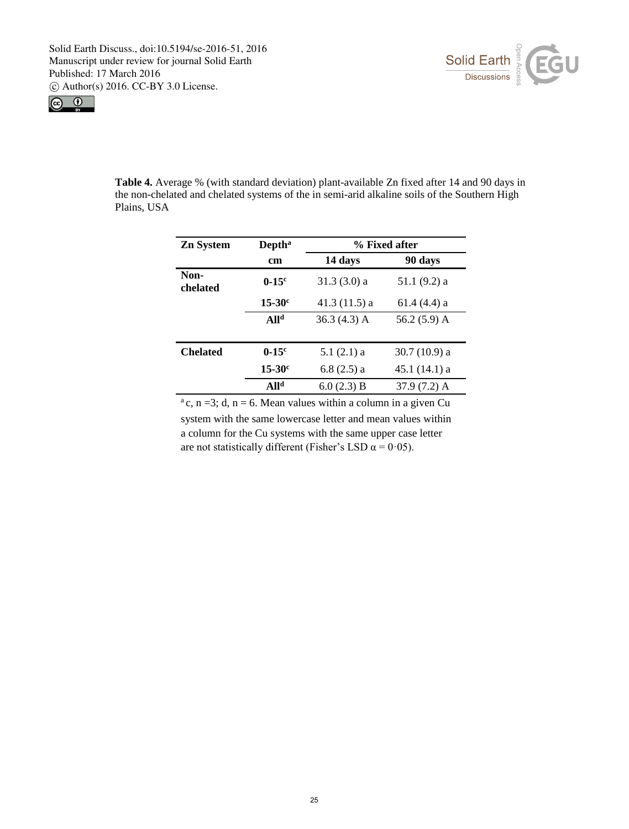



| <b>Table 4.</b> Average % (with standard deviation) plant-available Zn fixed after 14 and 90 days in |
|------------------------------------------------------------------------------------------------------|
| the non-chelated and chelated systems of the in semi-arid alkaline soils of the Southern High        |
| Plains. USA                                                                                          |

| <b>Zn System</b> | <b>Depth</b> <sup>a</sup> |                | % Fixed after  |
|------------------|---------------------------|----------------|----------------|
|                  | cm                        | 14 days        | 90 days        |
| Non-<br>chelated | $0-15^{\circ}$            | $31.3(3.0)$ a  | $51.1(9.2)$ a  |
|                  | $15 - 30^{\circ}$         | $41.3(11.5)$ a | $61.4(4.4)$ a  |
|                  | All <sup>d</sup>          | $36.3(4.3)$ A  | 56.2 $(5.9)$ A |
|                  |                           |                |                |
| <b>Chelated</b>  | $0-15^{\circ}$            | $5.1(2.1)$ a   | $30.7(10.9)$ a |
|                  | $15 - 30$ <sup>c</sup>    | $6.8(2.5)$ a   | 45.1(14.1)a    |
|                  | All <sup>d</sup>          | $6.0(2.3)$ B   | $37.9(7.2)$ A  |

<sup>a</sup> c, n = 3; d, n = 6. Mean values within a column in a given Cu system with the same lowercase letter and mean values within a column for the Cu systems with the same upper case letter are not statistically different (Fisher's LSD  $\alpha = 0.05$ ).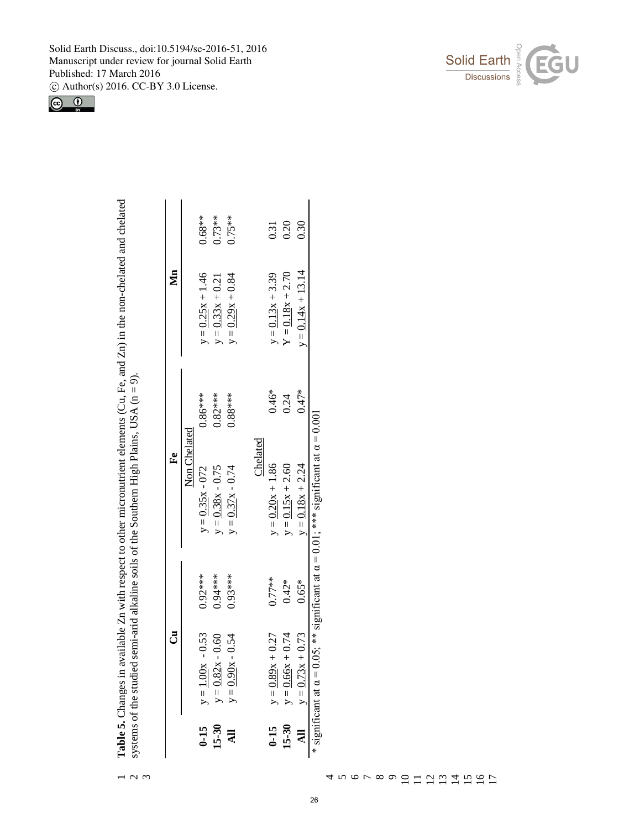



|                | ්                                        |           | ٩                  |           | $\mathbf{M}$ n      |          |
|----------------|------------------------------------------|-----------|--------------------|-----------|---------------------|----------|
|                |                                          |           | Non Chelated       |           |                     |          |
| $0-15$         | $-0.53$<br>$y = 1.00x$                   | $0.92***$ | $y = 0.35x - 072$  | $0.86***$ | $y = 0.25x + 1.46$  | $0.68**$ |
| $15-30$<br>All |                                          | $0.94***$ | $y = 0.38x - 0.75$ | $0.82***$ | $y = 0.33x + 0.21$  | $0.73**$ |
|                | $y = 0.82x - 0.60$<br>$y = 0.90x - 0.54$ | $0.93***$ | $y = 0.37x - 0.74$ | $0.88***$ | $y = 0.29x + 0.84$  | $0.75**$ |
|                |                                          |           | Chelated           |           |                     |          |
| $0-15$         | $+0.27$<br>$y = 0.89x$                   | $0.77***$ | $y = 0.20x + 1.86$ | $0.46*$   | $y = 0.13x + 3.39$  | 0.31     |
| $15 - 30$      | $+0.74$<br>$y = 0.66x$                   | $0.42*$   | $y = 0.15x + 2.60$ | 0.24      | $Y = 0.18x + 2.70$  | 0.20     |
| All            | $+0.73$<br>$y = 0.73x$                   | $0.65*$   | $y = 0.18x + 2.24$ | $0.47*$   | $y = 0.14x + 13.14$ | 0.30     |

4 5 6 7 8 9 10 11 12 13 14 15 16 17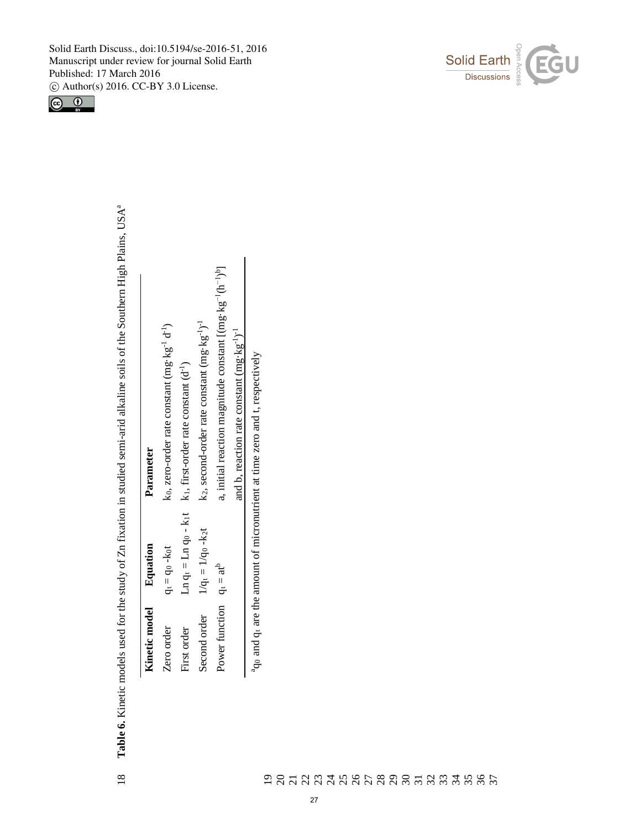$\boxed{6}$ 



Table 6. Kinetic models used for the study of Zn fixation in studied semi-arid alkaline soils of the Southern High Plains, USA<sup>a</sup> **Table 6.** Kinetic models used for the study of Zn fixation in studied semi-arid alkaline soils of the Southern High Plains, USAa 18

| Kinetic model               | Equation               | Parameter                                                                                       |
|-----------------------------|------------------------|-------------------------------------------------------------------------------------------------|
| Zero order                  | $q_t = q_0 - k_0 t$    | $x_0$ , zero-order rate constant (mg· $kg^{-1} d^{-1}$ )                                        |
| First order                 |                        | Ln $q_1 = \text{Ln } q_0 - k_1 t$ k <sub>1</sub> , first-order rate constant (d <sup>-1</sup> ) |
| Second order                | $1/q_t = 1/q_0 - k_2t$ | $k_2$ , second-order rate constant $(mg \cdot kg^{-1})^{-1}$                                    |
| Power function $q_t = at^p$ |                        | a, initial reaction magnitude constant $[(mg \cdot kg^{-1}(h^{-1})^b]$                          |
|                             |                        | and b, reaction rate constant $(mg \cdot kg^{-1})^{-1}$                                         |
|                             |                        | $a_{q_0}$ and $q_t$ are the amount of micronutrient at time zero and t, respectively            |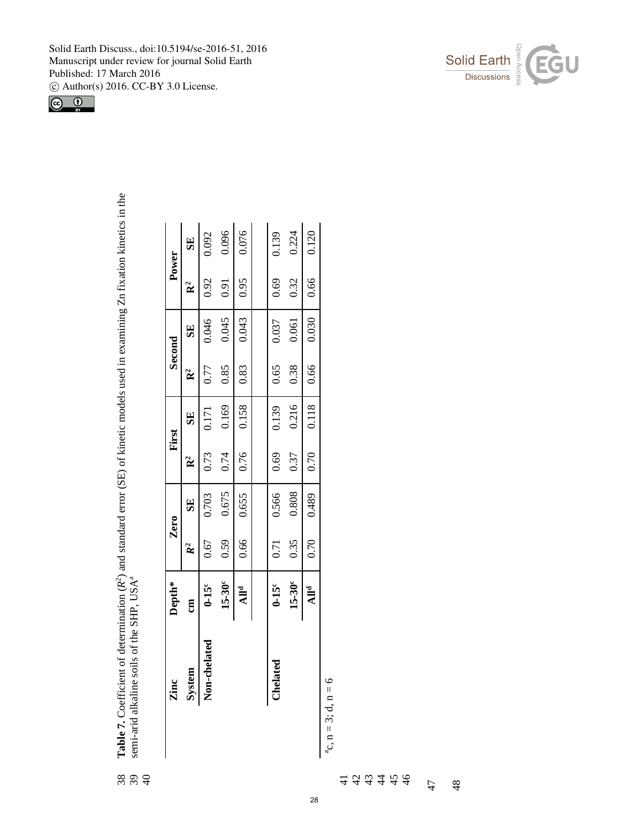



| Zinc                | Depth*           |                | Zero      |                | First     |                | Second                   |                | Power                  |
|---------------------|------------------|----------------|-----------|----------------|-----------|----------------|--------------------------|----------------|------------------------|
| System              | E                | $\mathbb{R}^2$ | <b>SE</b> | $\mathbb{R}^2$ | <b>SE</b> | $\mathbf{R}^2$ | $\overline{\textbf{SE}}$ | $\mathbf{R}^2$ | $\overline{\text{SE}}$ |
| <b>Von-chelated</b> | $0-15c$          | 0.67           | 0.703     | 0.73           | 0.171     | 0.77           | 0.046                    | 0.92           | 0.092                  |
|                     | $15-30^\circ$    | 0.59           | 0.675     | 0.74           | 0.169     | 0.85           | 0.045                    | 0.91           |                        |
|                     | All <sup>d</sup> | 0.66           | 0.655     | 0.76           | 0.158     | 0.83           | 0.043                    | 0.95           | $\frac{0.096}{0.076}$  |
|                     |                  |                |           |                |           |                |                          |                |                        |
| Chelated            | $0-15^c$         | 0.71           | 0.566     | 0.69           | 0.139     | 0.65           | 0.037                    | 0.69           | 0.139                  |
|                     | $15-30^\circ$    | 0.35           | 0.808     | 0.37           | 0.216     | 0.38           | 0.061                    | 0.32           | 0.224                  |
|                     | All <sup>d</sup> | 0.70           | 0.489     | 0.70           | 0.118     | 0.66           | 0.030                    | 0.66           | 0.120                  |

**Table 7.** Coefficient of determination (

semi-arid alkaline soils of the SHP,  $USA<sup>a</sup>$ 

 $8894$ 

**Table 7.** Coefficient of determination  $(R^2)$  and standard error (SE) of kinetic models used in examining Zn fixation kinetics in the

Table 7. Coefficient of determination  $(R^2)$  and standard error (SE) of kinetic models used in examining Zn fixation kinetics in the semi-arid alkaline soils of the SHP, USA<sup>a</sup>

<sup>a</sup>c,  $n = 3$ ; d,  $n = 6$  $a_{c}$ ,  $n = 3$ ; d,  $n = 6$ 

> 4 4 4 4 4 4<br>4 4 4 4 4 4 48

28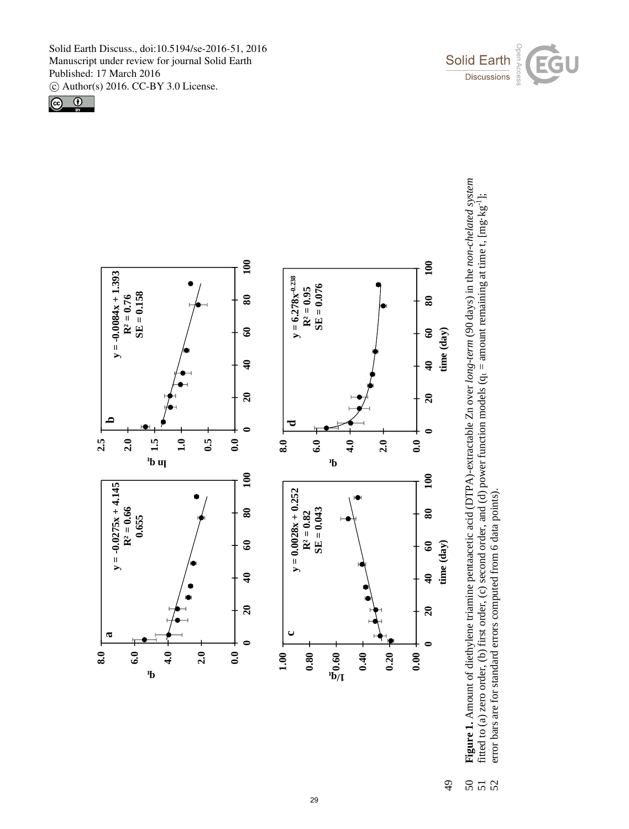





29

Figure 1. Amount of diethylene triamine pentaacetic acid (DTPA)-extractable Zn over long-term (90 days) in the non-chelated system **Figure 1.** Amount of diethylene triamine pentaacetic acid (DTPA)-extractable Zn over *long-term* (90 days) in the *non-chelated system* fitted to (a) zero order, (b) first order, (c) second order, and (d) power function models ( $q_t$  = amount remaining at time t, [mg·kg<sup>-1</sup>]; 51 fitted to (a) zero order, (b) first order, (c) second order, and (d) power function models ( $q_t$  = amount remaining at time t, [mg·kg<sup>-1</sup>]; 50

error bars are for standard errors computed from 6 data points). 52 error bars are for standard errors computed from 6 data points).